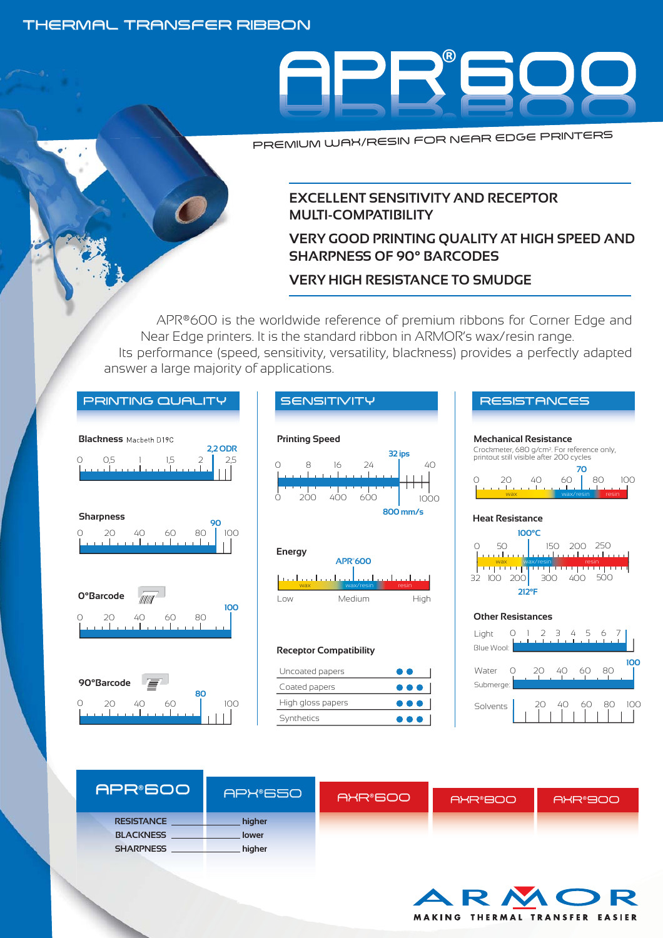#### THERMAL TRANSFER RIBBON



PREMIUM WAX/RESIN FOR NEAR EDGE PRINTERS

#### **EXCELLENT SENSITIVITY AND RECEPTOR MULTI-COMPATIBILITY**

### **VERY GOOD PRINTING QUALITY AT HIGH SPEED AND SHARPNESS OF 90° BARCODES**

# **VERY HIGH RESISTANCE TO SMUDGE**

APR®600 is the worldwide reference of premium ribbons for Corner Edge and Near Edge printers. It is the standard ribbon in ARMOR's wax/resin range.

Its performance (speed, sensitivity, versatility, blackness) provides a perfectly adapted answer a large majority of applications.











#### **Receptor Compatibility**

| Uncoated papers   | . .                     |
|-------------------|-------------------------|
| Coated papers     | $\bullet\bullet\bullet$ |
| High gloss papers | $\bullet\bullet\bullet$ |
| Synthetics        | $\bullet\bullet\bullet$ |





| APR®6001          |         |         |         |           |
|-------------------|---------|---------|---------|-----------|
|                   | APX®650 | AXR®600 | AXR®800 | IAXR®900' |
| <b>RESISTANCE</b> | higher  |         |         |           |
| <b>BLACKNESS</b>  | lower   |         |         |           |
| <b>SHARPNESS</b>  | higher  |         |         |           |